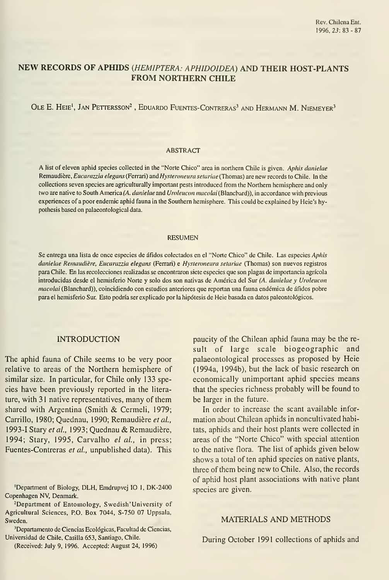# NEW RECORDS OF APHIDS {HEMIPTERA: APHIDOIDEA) AND THEIR HOST-PLANTS FROM NORTHERN CHILE

# OLE E. HEIE<sup>1</sup>, JAN PETTERSSON<sup>2</sup>, EDUARDO FUENTES-CONTRERAS<sup>3</sup> AND HERMANN M. NIEMEYER<sup>3</sup>

### ABSTRACT

A list of eleven aphid species collected in the "Norte Chico" area in northern Chile is given. Aphis danielae Remaudière, Eucarazzia elegans (Ferrari) and Hysteroneura setariae (Thomas) are new records to Chile. In the collections seven species are agriculturally important pests introduced from the Northern hemisphere and only two are native to South America (A. danielae and Uroleucon macolai (Blanchard)), in accordance with previous experiences of a poor endemic aphid fauna in the Southern hemisphere. This could be explained by Heie's hypothesis based on palaeontological data.

#### RESUMEN

Se entrega una lista de once especies de áfidos colectados en el "Norte Chico" de Chile. Las especies Aphis danielae Remaudiére, Eucarazzia elegans (Ferrari) e Hysteroneura setariae (Thomas) son nuevos registros para Chile. En las recolecciones realizadas se encontraron siete especies que son plagas de importancia agrícola introducidas desde el hemisferio Norte y solo dos son nativas de América del Sur (A. danielae y Uroleucon macolai (Blanchard)), coincidiendo con estudios anteriores que reportan una fauna endémica de áfidos pobre para el hemisferio Sur. Esto podría ser explicado por la hipótesis de Heie basada en datos paleontológicos.

## INTRODUCTION

The aphid fauna of Chile seems to be very poor relative to areas of the Northern hemisphere of similar size. In particular, for Chile only 133 species have been previously reported in the litera ture, with 31 native representatives, many of them shared with Argentina (Smith & Cermeli, 1979; Carrillo, 1980; Quednau, 1990; Remaudière et al., 1993-I Stary et al., 1993; Quednau & Remaudière, 1994; Stary, 1995, Carvalho el al., in press; Fuentes-Contreras et al, unpublished data). This

'Department of Biology, DLH, Emdrupvej 10 1, DK-2400 Copenhagen NV, Denmark.

-Department of Entomology, Swedish'University of Agricultural Sciences, P.O. Box 7044, S-750 07 Uppsala, Sweden.

'Departamento de Ciencias Ecológicas, Facultad de Ciencias, Universidad de Chile, Casilla 653, Santiago, Chile.

(Received: July 9, 1996. Accepted: August 24, 1996)

paucity of the Chilean aphid fauna may be the re sult of large scale biogeographic and palaeontological processes as proposed by Heie (1994a, 1994b), but the lack of basic research on economically unimportant aphid species means that the species richness probably will be found to be larger in the future.

In order to increase the scant available information about Chilean aphids in noncultivated habitats, aphids and their host plants were collected in áreas of the "Norte Chico" with special attention to the native flora. The list of aphids given below shows a total of ten aphid species on native plants, three of them being new to Chile. Also, the records of aphid host plant associations with native plant species are given.

### MATERIALS AND METHODS

During October 1991 collections of aphids and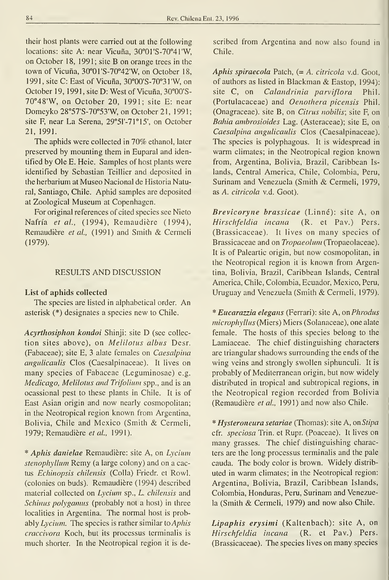their host plants were carried out at the following locations: site A: near Vicuña, 30°01'S-70°41'W, on October 18, 1991; site B on orange trees in the town of Vicuña, 30°01'S-70°42'W, on October 18, 1991, site C: East of Vicuña, 30°00'S-70°3 <sup>1</sup> 'W, on October 19, 1991, site D: West of Vicuña, 30°00'S-  $70^{\circ}48'$ W, on October 20, 1991; site E: near Domeyko 28°57'S-70°53'W, on October 21, 1991; site F, near La Serena, 29°51'-71°15', on October 21, 1991.

The aphids were collected in 70% ethanol, later preserved by mounting them in Euparal and identified by Ole E. Heie. Samples of host plants were identified by Sebastian Teillier and deposited in the herbarium at Museo Nacional de Historia Natural, Santiago, Chile. Aphid samples are deposited at Zoological Museum at Copenhagen.

Por original references of cited species see Nieto Nafría et al., (1994), Remaudiére (1994), Remaudière et al., (1991) and Smith & Cermeli (1979).

### RESULTS AND DISCUSSION

### List of aphids collected

The species are listed in alphabetical order. An asterisk (\*) designates a species new to Chile.

Acyrthosiphon kondoi Shinji: site D (see collec tion sites above), on Melilotus albus Desr. (Fabaceae); site E, 3 alate females on *Caesalpina* angulicaulis Clos (Caesalpinaceae). It lives on many species of Fabaceae (Leguminosae) e.g. Medicago, Melilotus and Trifolíum spp., and is an ocassional pest to these plants in Chile. It is of East Asian origin and now nearly cosmopolitan; in the Neotropical región known from Argentina, Bolivia, Chile and Mexico (Smith & Cermeli, 1979; Remaudière et al., 1991).

\* Aphis danielae Remaudiére: site A, on Lycium stenophyllum Remy (a large colony) and on a cactus Echinopsis chilensis (Colla) Friedr. et Rowl. (colonies on buds). Remaudiére (1994) described material collected on Lycium sp., L. chilensis and Schinus polyganus (probably not a host) in three localities in Argentina. The normal host is probably Lycium. The species is rather similar to *Aphis* craccivora Koch, but its processus terminalis is much shorter. In the Neotropical region it is described from Argentina and now also found in Chile.

Aphis spiraecola Patch,  $(= A.$  citricola v.d. Goot, of authors as listed in Blackman  $&$  Eastop, 1994): site C, on Calandrinia parviflora Phil. (Portulacaceae) and Oenothera picensis Phil. (Onagraceae). site B, on Citrus nobilis; site F, on Bahia ambrosioides Lag. (Asteraceae); site E, on Caesalpina angulicaulis Clos (Caesalpinaceae). The species is polyphagous. It is widespread in warm climates; in the Neotropical region known from, Argentina, Bolivia, Brazil, Caribbean Is lands. Central America, Chile, Colombia, Perú, Surinam and Venezuela (Smith & Cermeli, 1979, as A. citricola v.d. Goot).

Brevicoryne brassicae (Linné): site A, on Hirschfeldia incana (R. et Pav.) Pers. (Brassicaceae). It lives on many species of Brassicaceae and on Tropaeolum (Tropaeolaceae). It is of Paleartic origin, but now cosmopolitan, in the Neotropical region it is known from Argentina, Bolivia, Brazil, Caribbean Islands, Central America, Chile, Colombia, Ecuador, México, Perú, Uruguay and Venezuela (Smith & Cermeli, 1979).

\* Eucarazzia elegans (Ferrari): site A, on Phrodus microphyllus (Miers) Miers (Solanaceae), one alate female. The hosts of this species belong to the Lamiaceae. The chief distinguishing characters are triangular shadows surrounding the ends of the wing veins and strongly swollen siphunculi. It is probably of Mediterranean origin, but now widely distributed in tropical and subtropical regions, in the Neotropical región recorded from Bolivia (Remaudière et al., 1991) and now also Chile.

\* Hysteroneura setariae (Thomas): site A, onStipa cfr. *speciosa* Trin. et Rupr. (Poaceae). It lives on many grasses. The chief distinguishing characters are the long processus terminalis and the palé cauda. The body color is brown. Widely distrib uted in warm climates; in the Neotropical región: Argentina, Bolivia, Brazil, Caribbean Islands, Colombia, Honduras, Perú, Surinam and Venezuela (Smith & Cermeli, 1979) and now also Chile.

Lipaphis erysimi (Kaltenbach): site A, on Hirschfeldia incana (R. et Pav.) Pers. (Brassicaceae). The species lives on many species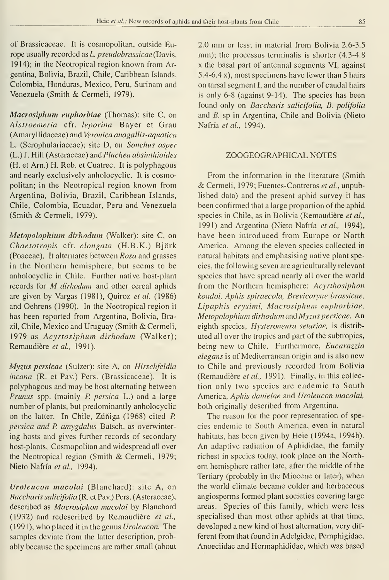of Brassicaceae. It is cosmopolitan, outside Europe usually recorded as  $L$ . *pseudobrassicae* (Davis, 1914); in the Neotropical region known from Argentina, Bolivia, Brazil, Chile, Caribbean Islands, Colombia, Honduras, México, Perú, Surinam and Venezuela (Smith & Cermeli, 1979).

Macrosiphum euphorbiae (Thomas): site C, on Alstroemeria cfr. leporina Bayer et Grau (Amaryllidaceae) and Veronica anagallis-aquatica L. (Scrophulariaceae); site D, on Sonchus asper (L.) J. Hill (Asteraceae) and Pluchea absinthioides (H. et Arn.) H. Rob. et Cuatrec. It is polyphagous and nearly exclusively anholocyclic. It is cosmopolitan; in the Neotropical región known from Argentina, Bolivia, Brazil, Caribbean Islands, Chile, Colombia, Ecuador, Perú and Venezuela (Smith & Cermeli, 1979).

Metopolophium dirhodum (Walker): site C, on Chaetotropis cfr. elongata (H.B.K.) Bjork (Poaceae). It alternates between Rosa and grasses in the Northern hemisphere, but seems to be anholocyclic in Chile. Further native host-plant records for M dirhodum and other cereal aphids are given by Vargas (1981), Quiroz et al. (1986) and Oehrens (1990). In the Neotropical region it has been reported from Argentina, Bolivia, Brazil, Chile, Mexico and Uruguay (Smith & Cermeli, 1979 as Acyrtosiphum dirhodum (Walker); Remaudière et al., 1991).

Myzus persicae (Sulzer): site A, on Hirschfeldia incana (R. et Pav.) Pers. (Brassicaceae). It is polyphagous and may be host alternating between Prunus spp. (mainly P. persica L.) and a large number of plants, but predominantly anholocyclic on the latter. In Chile, Zúñiga (1968) cited P. persica and P. amygdalus Batsch. as overwintering hosts and gives further records of secondary host-plants. Cosmopolitan and widespread all over the Neotropical región (Smith & Cermeli, 1979; Nieto Nafría et al, 1994).

Uroleucon macolai (Blanchard): site A, on Baccharis salicifolia (R. et Pav.) Pers. (Asteraceae), described as Macrosiphon macolai by Blanchard (1932) and redescribed by Remaudiére et al., (1991), who placed it in the genus Uroleucon. The samples deviate from the latter description, probably because the specimens are rather small (about 2.0 mm or less; in material from Bolivia 2.6-3.5 mm); the processus terminalis is shorter  $(4.3-4.8)$ X the basal part of antennal segments VI, against 5.4-6.4 x), most specimens have fewer than 5 hairs on tarsal segment I, and the number of caudal hairs is only 6-8 (against 9-14). The species has been found only on Baccharis salicifolia, B. polifolia and B. sp in Argentina, Chile and Bolivia (Nieto Nafría et al., 1994).

## ZOOGEOGRAPHICAL NOTES

From the information in the literature (Smith & Cermeli, 1979; Fuentes-Contreras et al., unpublished data) and the present aphid survey it has been confirmed that a large proportion of the aphid species in Chile, as in Bolivia (Remaudière et al., 1991) and Argentina (Nieto Nafría et al., 1994), have been introduced from Europe or North America. Among the eleven species collected in natural habitats and emphasising native plant species, the following seven are agriculturally relevant species that have spread nearly all over the world from the Northern hemisphere: Acyrthosiphon kondoi, Aphis spiraecola, Brevicoryne brassicae, Lipaphis erysinii, Macrosiphum euphorbiae, Metopolophium dirhodum and Myzus persicae. An eighth species, Hysteroneura setariae, is distrib uted all over the tropics and part of the subtropics, being new to Chile. Furthermore, Eucarazzia elegans is of Mediterranean origin and is also new to Chile and previously recorded from Bolivia (Remaudiére et al., 1991). Finally, in this collec tion only two species are endemic to South America, Aphis danielae and Uroleucon macolai, both originally described from Argentina.

The reason for the poor representation of species endemic to South America, even in natural habitats, has been given by Heie (1994a, 1994b). An adaptive radiation of Aphididae, the family richest in species today, took place on the Northern hemisphere rather late, after the middle of the Tertiary (probably in the Miocene or later), when the world climate became colder and herbaceous angiosperms formed plant societies covering large áreas. Species of this family, which were less specialised than most other aphids at that time, developed a new kind of host alternation, very dif ferent from that found in Adelgidae, Pemphigidae, Anoeciidae and Hormaphididae, which was based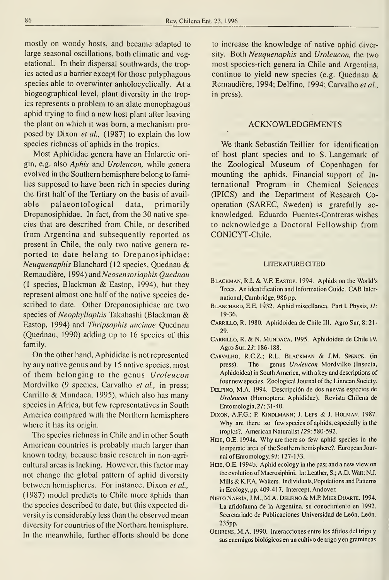mostly on woody hosts, and became adapted to large seasonal oscillations, both climatic and vegetational. In their dispersal southwards, the tropics acted as a barrier except for those polyphagous species able to overwinter anholocyclically. At a biogeographical level, plant diversity in the tropics represents a problem to an alate monophagous aphid trying to find a new host plant after leaving the plant on which it was born, a mechanism pro posed by Dixon et al., (1987) to explain the low species richness of aphids in the tropics.

Most Aphididae genera have an Holarctic ori gin, e.g. also Aphis and Uroleucon, while genera evolved in the Southern hemisphere belong to families supposed to have been rich in species during the first half of the Tertiary on the basis of avail able palaeontological data, primarily Drepanosiphidae. In fact, from the 30 native species that are described from Chile, or described from Argentina and subsequently reported as present in Chile, the only two native genera re ported to date belong to Drepanosiphidae: Neuquenaphis Blanchard (12 species, Quednau & Remaudiére, 1994) and Neosensoriaphis Quednau (I species, Blackman & Eastop, 1994), but they represent almost one half of the native species described to date. Other Drepanosiphidae are two species of Neophyllaphis Takahashi (Blackman & Eastop, 1994) and Thripsaphis uncinae Quednau (Quednau, 1990) adding up to 16 species of this family.

On the other hand, Aphididae is not represented by any native genus and by 15 native species, most of them belonging to the genus Uroleucon Mordvilko (9 species, Carvalho et al., in press; Carrillo & Mundaca, 1995), which also has many species in África, but few representatives in South America compared with the Northern hemisphere where it has its origin.

The species richness in Chile and in other South American countries is probably much larger than known today, because basic research in non-agricultural areas is lacking. However, this factor may not change the global pattern of aphid diversity between hemispheres. For instance, Dixon et al., (1987) model predicts to Chile more aphids than the species described to date, but this expected di versity is considerably less than the observed mean diversity for countries of the Northern hemisphere. In the meanwhile, further efforts should be done

to increase the knowledge of native aphid diversity. Both Neuquenaphis and Uroleucon, the two most species-rich genera in Chile and Argentina, continué to yield new species (e.g. Quednau & Remaudière, 1994; Delfino, 1994; Carvalho et al., in press).

#### ACKNOWLEDGEMENTS

We thank Sebastián Teillier for identification of host plant species and to S. Langemark of the Zoological Museum of Copenhagen for mounting the aphids. Financial support of In ternational Program in Chemical Sciences (IPICS) and the Department of Research Cooperation (SAREC, Sweden) is gratefully ac knowledged. Eduardo Fuentes-Contreras wishes to acknowledge a Doctoral Fellowship from CONICYT-Chile.

#### LITERATURECITED

- Blackman, R.L & V.F. Eastop. 1994. Aphids on the World's Trees. Anidentification and Information Cuide. CAB Inter national, Cambridge, 986 pp.
- BLANCHARD, E.E. 1932. Aphid miscellanea. Part I. Physis,  $II$ : 19-36.
- Carrillo, R. 1980. Aphidoidea de Chile III. Agro Sur, 8: 21- 29.
- Carrillo, R. & N.Mundaca, 1995. Aphidoidea de Chile IV. Agro Sur, 23: 186-188.
- Carvalho, R.C.Z.; R.L. Blackman & J.M. Spence. (in press). The genus Uroleucon Mordvilko (Insecta, Aphidoidea) in South America, with a key and descriptions of four new species. Zoological Journal of the Linnean Society.
- Delfino, M.A. 1994. Descripción de dos nuevas especies de Uroleucon (Homoptera: Aphididae). Revista Chilena de Entomología, 27: 31-40.
- DIXON, A.F.G.; P. KINDLMANN; J. LEPS & J. HOLMAN. 1987. Why are there so few species of aphids, especially in the tropics?. American Naturalist 129: 580-592.
- Heie, O.E. 1994a. Why are there so few aphid species in the temperate area of the Southern hemisphere?. European Journal ofEntomoIogy, 97: 127-133.
- HEIE, O.E. 1994b. Aphid ecology in the past and a new view on the evolution of Macrosiphini. In: Leather, S.; A.D. Watt; N.J. Mills & K.F.A. Walters. Individuals, Populations and Patterns in Ecology, pp. 409-417. Intercept, Andover.
- Nieto Nafría, J.M., M.A. Delfino & M.P Mier Duarte. 1994. La afidofauna de la Argentina, su conocimiento en 1992. Secretariado de Publicaciones Universidad de León, León. 235pp.
- Oehrens, M.A. 1990. Interacciones entre los afidos del trigo y sus enemigos biológicos en un cultivo de trigo y en gramíneas